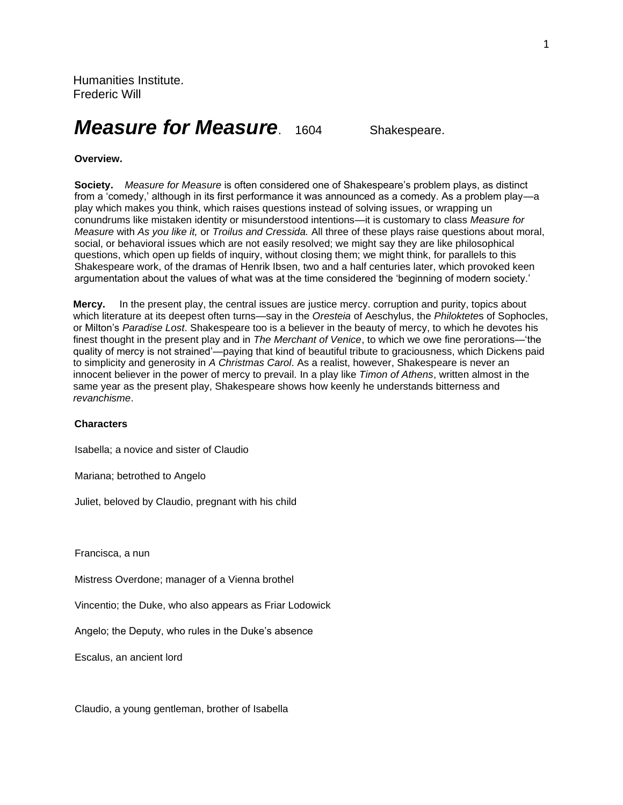# *Measure for Measure.* 1604 Shakespeare.

## **Overview.**

**Society.** *Measure for Measure* is often considered one of Shakespeare's problem plays, as distinct from a 'comedy,' although in its first performance it was announced as a comedy. As a problem play—a play which makes you think, which raises questions instead of solving issues, or wrapping un conundrums like mistaken identity or misunderstood intentions—it is customary to class *Measure for Measure* with *As you like it,* or *Troilus and Cressida.* All three of these plays raise questions about moral, social, or behavioral issues which are not easily resolved; we might say they are like philosophical questions, which open up fields of inquiry, without closing them; we might think, for parallels to this Shakespeare work, of the dramas of Henrik Ibsen, two and a half centuries later, which provoked keen argumentation about the values of what was at the time considered the 'beginning of modern society.'

**Mercy.** In the present play, the central issues are justice mercy. corruption and purity, topics about which literature at its deepest often turns—say in the *Oresteia* of Aeschylus, the *Philoktete*s of Sophocles, or Milton's *Paradise Lost*. Shakespeare too is a believer in the beauty of mercy, to which he devotes his finest thought in the present play and in *The Merchant of Venice*, to which we owe fine perorations—'the quality of mercy is not strained'—paying that kind of beautiful tribute to graciousness, which Dickens paid to simplicity and generosity in *A Christmas Carol*. As a realist, however, Shakespeare is never an innocent believer in the power of mercy to prevail. In a play like *Timon of Athens*, written almost in the same year as the present play, Shakespeare shows how keenly he understands bitterness and *revanchisme*.

#### **Characters**

Isabella; a novice and sister of Claudio

Mariana; betrothed to Angelo

Juliet, beloved by Claudio, pregnant with his child

Francisca, a nun

Mistress Overdone; manager of a Vienna brothel

Vincentio; the Duke, who also appears as Friar Lodowick

Angelo; the Deputy, who rules in the Duke's absence

Escalus, an ancient lord

Claudio, a young gentleman, brother of Isabella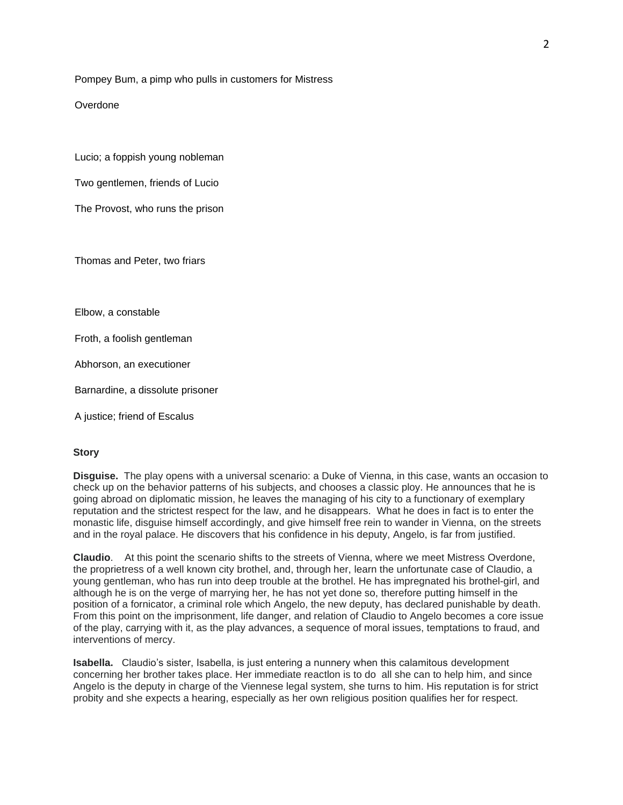Pompey Bum, a pimp who pulls in customers for Mistress

Overdone

Lucio; a foppish young nobleman

Two gentlemen, friends of Lucio

The Provost, who runs the prison

Thomas and Peter, two friars

Elbow, a constable

Froth, a foolish gentleman

Abhorson, an executioner

Barnardine, a dissolute prisoner

A justice; friend of Escalus

#### **Story**

**Disguise.** The play opens with a universal scenario: a Duke of Vienna, in this case, wants an occasion to check up on the behavior patterns of his subjects, and chooses a classic ploy. He announces that he is going abroad on diplomatic mission, he leaves the managing of his city to a functionary of exemplary reputation and the strictest respect for the law, and he disappears. What he does in fact is to enter the monastic life, disguise himself accordingly, and give himself free rein to wander in Vienna, on the streets and in the royal palace. He discovers that his confidence in his deputy, Angelo, is far from justified.

**Claudio**. At this point the scenario shifts to the streets of Vienna, where we meet Mistress Overdone, the proprietress of a well known city brothel, and, through her, learn the unfortunate case of Claudio, a young gentleman, who has run into deep trouble at the brothel. He has impregnated his brothel-girl, and although he is on the verge of marrying her, he has not yet done so, therefore putting himself in the position of a fornicator, a criminal role which Angelo, the new deputy, has declared punishable by death. From this point on the imprisonment, life danger, and relation of Claudio to Angelo becomes a core issue of the play, carrying with it, as the play advances, a sequence of moral issues, temptations to fraud, and interventions of mercy.

**Isabella.** Claudio's sister, Isabella, is just entering a nunnery when this calamitous development concerning her brother takes place. Her immediate reactlon is to do all she can to help him, and since Angelo is the deputy in charge of the Viennese legal system, she turns to him. His reputation is for strict probity and she expects a hearing, especially as her own religious position qualifies her for respect.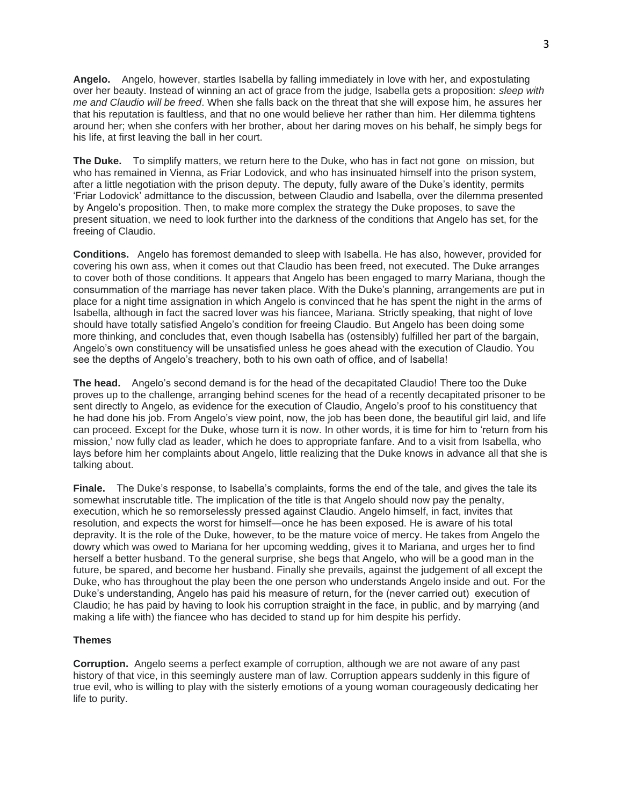**Angelo.** Angelo, however, startles Isabella by falling immediately in love with her, and expostulating over her beauty. Instead of winning an act of grace from the judge, Isabella gets a proposition: *sleep with me and Claudio will be freed*. When she falls back on the threat that she will expose him, he assures her that his reputation is faultless, and that no one would believe her rather than him. Her dilemma tightens around her; when she confers with her brother, about her daring moves on his behalf, he simply begs for his life, at first leaving the ball in her court.

**The Duke.** To simplify matters, we return here to the Duke, who has in fact not gone on mission, but who has remained in Vienna, as Friar Lodovick, and who has insinuated himself into the prison system, after a little negotiation with the prison deputy. The deputy, fully aware of the Duke's identity, permits 'Friar Lodovick' admittance to the discussion, between Claudio and Isabella, over the dilemma presented by Angelo's proposition. Then, to make more complex the strategy the Duke proposes, to save the present situation, we need to look further into the darkness of the conditions that Angelo has set, for the freeing of Claudio.

**Conditions.** Angelo has foremost demanded to sleep with Isabella. He has also, however, provided for covering his own ass, when it comes out that Claudio has been freed, not executed. The Duke arranges to cover both of those conditions. It appears that Angelo has been engaged to marry Mariana, though the consummation of the marriage has never taken place. With the Duke's planning, arrangements are put in place for a night time assignation in which Angelo is convinced that he has spent the night in the arms of Isabella, although in fact the sacred lover was his fiancee, Mariana. Strictly speaking, that night of love should have totally satisfied Angelo's condition for freeing Claudio. But Angelo has been doing some more thinking, and concludes that, even though Isabella has (ostensibly) fulfilled her part of the bargain, Angelo's own constituency will be unsatisfied unless he goes ahead with the execution of Claudio. You see the depths of Angelo's treachery, both to his own oath of office, and of Isabella!

**The head.** Angelo's second demand is for the head of the decapitated Claudio! There too the Duke proves up to the challenge, arranging behind scenes for the head of a recently decapitated prisoner to be sent directly to Angelo, as evidence for the execution of Claudio, Angelo's proof to his constituency that he had done his job. From Angelo's view point, now, the job has been done, the beautiful girl laid, and life can proceed. Except for the Duke, whose turn it is now. In other words, it is time for him to 'return from his mission,' now fully clad as leader, which he does to appropriate fanfare. And to a visit from Isabella, who lays before him her complaints about Angelo, little realizing that the Duke knows in advance all that she is talking about.

**Finale.** The Duke's response, to Isabella's complaints, forms the end of the tale, and gives the tale its somewhat inscrutable title. The implication of the title is that Angelo should now pay the penalty, execution, which he so remorselessly pressed against Claudio. Angelo himself, in fact, invites that resolution, and expects the worst for himself—once he has been exposed. He is aware of his total depravity. It is the role of the Duke, however, to be the mature voice of mercy. He takes from Angelo the dowry which was owed to Mariana for her upcoming wedding, gives it to Mariana, and urges her to find herself a better husband. To the general surprise, she begs that Angelo, who will be a good man in the future, be spared, and become her husband. Finally she prevails, against the judgement of all except the Duke, who has throughout the play been the one person who understands Angelo inside and out. For the Duke's understanding, Angelo has paid his measure of return, for the (never carried out) execution of Claudio; he has paid by having to look his corruption straight in the face, in public, and by marrying (and making a life with) the fiancee who has decided to stand up for him despite his perfidy.

#### **Themes**

**Corruption.** Angelo seems a perfect example of corruption, although we are not aware of any past history of that vice, in this seemingly austere man of law. Corruption appears suddenly in this figure of true evil, who is willing to play with the sisterly emotions of a young woman courageously dedicating her life to purity.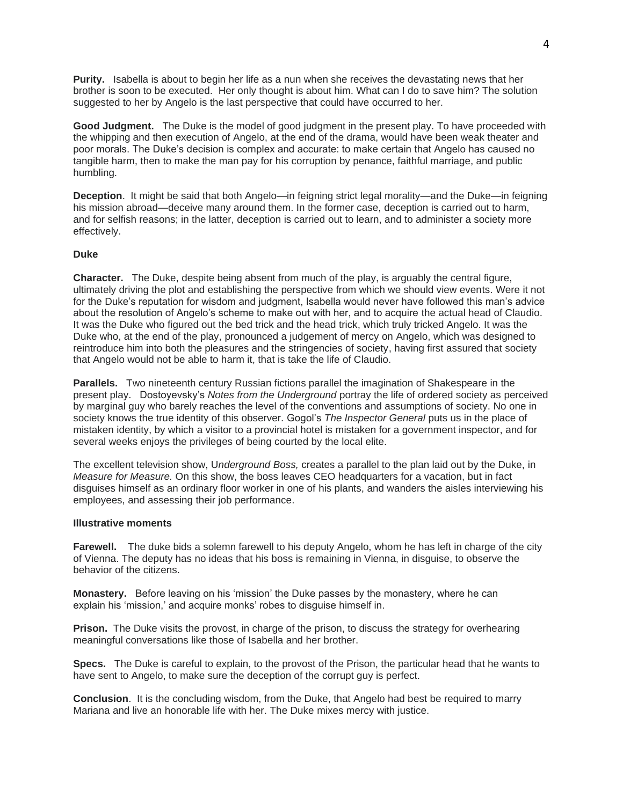**Purity.** Isabella is about to begin her life as a nun when she receives the devastating news that her brother is soon to be executed. Her only thought is about him. What can I do to save him? The solution suggested to her by Angelo is the last perspective that could have occurred to her.

**Good Judgment.** The Duke is the model of good judgment in the present play. To have proceeded with the whipping and then execution of Angelo, at the end of the drama, would have been weak theater and poor morals. The Duke's decision is complex and accurate: to make certain that Angelo has caused no tangible harm, then to make the man pay for his corruption by penance, faithful marriage, and public humbling.

**Deception**. It might be said that both Angelo—in feigning strict legal morality—and the Duke—in feigning his mission abroad—deceive many around them. In the former case, deception is carried out to harm, and for selfish reasons; in the latter, deception is carried out to learn, and to administer a society more effectively.

## **Duke**

**Character.** The Duke, despite being absent from much of the play, is arguably the central figure, ultimately driving the plot and establishing the perspective from which we should view events. Were it not for the Duke's reputation for wisdom and judgment, Isabella would never have followed this man's advice about the resolution of Angelo's scheme to make out with her, and to acquire the actual head of Claudio. It was the Duke who figured out the bed trick and the head trick, which truly tricked Angelo. It was the Duke who, at the end of the play, pronounced a judgement of mercy on Angelo, which was designed to reintroduce him into both the pleasures and the stringencies of society, having first assured that society that Angelo would not be able to harm it, that is take the life of Claudio.

**Parallels.** Two nineteenth century Russian fictions parallel the imagination of Shakespeare in the present play. Dostoyevsky's *Notes from the Underground* portray the life of ordered society as perceived by marginal guy who barely reaches the level of the conventions and assumptions of society. No one in society knows the true identity of this observer. Gogol's *The Inspector General* puts us in the place of mistaken identity, by which a visitor to a provincial hotel is mistaken for a government inspector, and for several weeks enjoys the privileges of being courted by the local elite.

The excellent television show, U*nderground Boss,* creates a parallel to the plan laid out by the Duke, in *Measure for Measure.* On this show, the boss leaves CEO headquarters for a vacation, but in fact disguises himself as an ordinary floor worker in one of his plants, and wanders the aisles interviewing his employees, and assessing their job performance.

## **Illustrative moments**

**Farewell.** The duke bids a solemn farewell to his deputy Angelo, whom he has left in charge of the city of Vienna. The deputy has no ideas that his boss is remaining in Vienna, in disguise, to observe the behavior of the citizens.

**Monastery.** Before leaving on his 'mission' the Duke passes by the monastery, where he can explain his 'mission,' and acquire monks' robes to disguise himself in.

**Prison.** The Duke visits the provost, in charge of the prison, to discuss the strategy for overhearing meaningful conversations like those of Isabella and her brother.

**Specs.** The Duke is careful to explain, to the provost of the Prison, the particular head that he wants to have sent to Angelo, to make sure the deception of the corrupt guy is perfect.

**Conclusion**. It is the concluding wisdom, from the Duke, that Angelo had best be required to marry Mariana and live an honorable life with her. The Duke mixes mercy with justice.